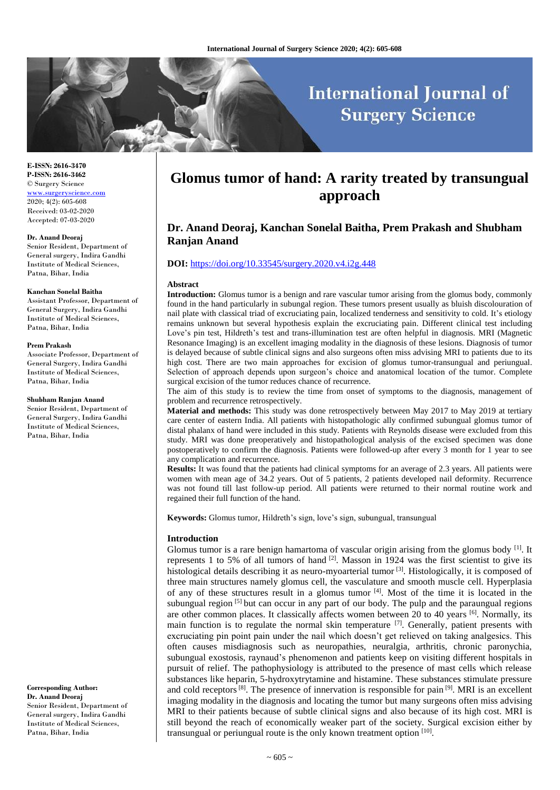# **International Journal of Surgery Science**

**E-ISSN: 2616-3470 P-ISSN: 2616-3462** © Surgery Science [www.surgeryscience.com](http://www.surgeryscience.com/)  $2020:4(2):605-608$ Received: 03-02-2020 Accepted: 07-03-2020

#### **Dr. Anand Deoraj**

Senior Resident, Department of General surgery, Indira Gandhi Institute of Medical Sciences, Patna, Bihar, India

#### **Kanchan Sonelal Baitha**

Assistant Professor, Department of General Surgery, Indira Gandhi Institute of Medical Sciences, Patna, Bihar, India

#### **Prem Prakash**

Associate Professor, Department of General Surgery, Indira Gandhi Institute of Medical Sciences, Patna, Bihar, India

#### **Shubham Ranjan Anand**

Senior Resident, Department of General Surgery, Indira Gandhi Institute of Medical Sciences, Patna, Bihar, India

**Corresponding Author: Dr. Anand Deoraj** Senior Resident, Department of General surgery, Indira Gandhi Institute of Medical Sciences, Patna, Bihar, India

# **Glomus tumor of hand: A rarity treated by transungual approach**

# **Dr. Anand Deoraj, Kanchan Sonelal Baitha, Prem Prakash and Shubham Ranjan Anand**

## **DOI:** <https://doi.org/10.33545/surgery.2020.v4.i2g.448>

### **Abstract**

**Introduction:** Glomus tumor is a benign and rare vascular tumor arising from the glomus body, commonly found in the hand particularly in subungal region. These tumors present usually as bluish discolouration of nail plate with classical triad of excruciating pain, localized tenderness and sensitivity to cold. It's etiology remains unknown but several hypothesis explain the excruciating pain. Different clinical test including Love's pin test, Hildreth's test and trans-illumination test are often helpful in diagnosis. MRI (Magnetic Resonance Imaging) is an excellent imaging modality in the diagnosis of these lesions. Diagnosis of tumor is delayed because of subtle clinical signs and also surgeons often miss advising MRI to patients due to its high cost. There are two main approaches for excision of glomus tumor-transungual and periungual. Selection of approach depends upon surgeon's choice and anatomical location of the tumor. Complete surgical excision of the tumor reduces chance of recurrence.

The aim of this study is to review the time from onset of symptoms to the diagnosis, management of problem and recurrence retrospectively.

**Material and methods:** This study was done retrospectively between May 2017 to May 2019 at tertiary care center of eastern India. All patients with histopathologic ally confirmed subungual glomus tumor of distal phalanx of hand were included in this study. Patients with Reynolds disease were excluded from this study. MRI was done preoperatively and histopathological analysis of the excised specimen was done postoperatively to confirm the diagnosis. Patients were followed-up after every 3 month for 1 year to see any complication and recurrence.

**Results:** It was found that the patients had clinical symptoms for an average of 2.3 years. All patients were women with mean age of 34.2 years. Out of 5 patients, 2 patients developed nail deformity. Recurrence was not found till last follow-up period. All patients were returned to their normal routine work and regained their full function of the hand.

**Keywords:** Glomus tumor, Hildreth's sign, love's sign, subungual, transungual

#### **Introduction**

Glomus tumor is a rare benign hamartoma of vascular origin arising from the glomus body  $^{[1]}$ . It represents 1 to 5% of all tumors of hand  $\left[2\right]$ . Masson in 1924 was the first scientist to give its histological details describing it as neuro-myoarterial tumor [3]. Histologically, it is composed of three main structures namely glomus cell, the vasculature and smooth muscle cell. Hyperplasia of any of these structures result in a glomus tumor  $[4]$ . Most of the time it is located in the subungual region  $\left[5\right]$  but can occur in any part of our body. The pulp and the paraungual regions are other common places. It classically affects women between 20 to 40 years  $\left[6\right]$ . Normally, its main function is to regulate the normal skin temperature  $[7]$ . Generally, patient presents with excruciating pin point pain under the nail which doesn't get relieved on taking analgesics. This often causes misdiagnosis such as neuropathies, neuralgia, arthritis, chronic paronychia, subungual exostosis, raynaud's phenomenon and patients keep on visiting different hospitals in pursuit of relief. The pathophysiology is attributed to the presence of mast cells which release substances like heparin, 5-hydroxytrytamine and histamine. These substances stimulate pressure and cold receptors  $[8]$ . The presence of innervation is responsible for pain  $[9]$ . MRI is an excellent imaging modality in the diagnosis and locating the tumor but many surgeons often miss advising MRI to their patients because of subtle clinical signs and also because of its high cost. MRI is still beyond the reach of economically weaker part of the society. Surgical excision either by transungual or periungual route is the only known treatment option [10].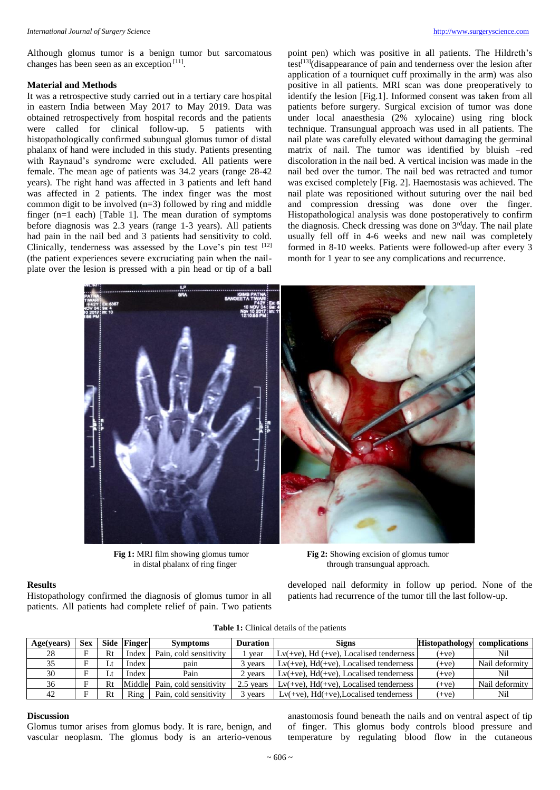Although glomus tumor is a benign tumor but sarcomatous changes has been seen as an exception [11].

#### **Material and Methods**

It was a retrospective study carried out in a tertiary care hospital in eastern India between May 2017 to May 2019. Data was obtained retrospectively from hospital records and the patients were called for clinical follow-up. 5 patients with histopathologically confirmed subungual glomus tumor of distal phalanx of hand were included in this study. Patients presenting with Raynaud's syndrome were excluded. All patients were female. The mean age of patients was 34.2 years (range 28-42 years). The right hand was affected in 3 patients and left hand was affected in 2 patients. The index finger was the most common digit to be involved  $(n=3)$  followed by ring and middle finger (n=1 each) [Table 1]. The mean duration of symptoms before diagnosis was 2.3 years (range 1-3 years). All patients had pain in the nail bed and 3 patients had sensitivity to cold. Clinically, tenderness was assessed by the Love's pin test [12] (the patient experiences severe excruciating pain when the nailplate over the lesion is pressed with a pin head or tip of a ball

point pen) which was positive in all patients. The Hildreth's test<sup>[13]</sup>(disappearance of pain and tenderness over the lesion after application of a tourniquet cuff proximally in the arm) was also positive in all patients. MRI scan was done preoperatively to identify the lesion [Fig.1]. Informed consent was taken from all patients before surgery. Surgical excision of tumor was done under local anaesthesia (2% xylocaine) using ring block technique. Transungual approach was used in all patients. The nail plate was carefully elevated without damaging the germinal matrix of nail. The tumor was identified by bluish –red discoloration in the nail bed. A vertical incision was made in the nail bed over the tumor. The nail bed was retracted and tumor was excised completely [Fig. 2]. Haemostasis was achieved. The nail plate was repositioned without suturing over the nail bed and compression dressing was done over the finger. Histopathological analysis was done postoperatively to confirm the diagnosis. Check dressing was done on 3<sup>rd</sup>day. The nail plate usually fell off in 4-6 weeks and new nail was completely formed in 8-10 weeks. Patients were followed-up after every 3 month for 1 year to see any complications and recurrence.



**Fig 1:** MRI film showing glomus tumor **Fig 2:** Showing excision of glomus tumor

# in distal phalanx of ring finger through transungual approach.

developed nail deformity in follow up period. None of the patients had recurrence of the tumor till the last follow-up.

| Age(years) | <b>Sex</b> | Side | <b>Finger</b> | <b>Symptoms</b>        | <b>Duration</b> | Signs                                        | <b>Histopathology</b> | complications  |
|------------|------------|------|---------------|------------------------|-----------------|----------------------------------------------|-----------------------|----------------|
| 28         |            | Rt   | Index         | Pain, cold sensitivity | vear            | $Lv$ (+ve), Hd (+ve), Localised tenderness   | $(+ve)$               | Nil            |
|            |            |      | Index         | pain                   | 3 vears         | $Lv(+ve)$ , $Hd(+ve)$ , Localised tenderness | $+ve)$                | Nail deformity |
| 30         |            |      | Index         | Pain                   | 2 years         | $Lv(+ve)$ , $Hd(+ve)$ , Localised tenderness | $(+ve)$               | Nil            |
| 36         |            | Rt   | Middle        | Pain, cold sensitivity | 2.5 years       | $Lv(+ve)$ , $Hd(+ve)$ , Localised tenderness | $(+ve)$               | Nail deformity |
| 42         |            | Rt   | Ring          | Pain, cold sensitivity | 3 years         | $Lv(+ve)$ , $Hd(+ve)$ , Localised tenderness | $(+ve)$               | Nil            |

# **Table 1:** Clinical details of the patients

### **Discussion**

**Results**

Glomus tumor arises from glomus body. It is rare, benign, and vascular neoplasm. The glomus body is an arterio-venous

Histopathology confirmed the diagnosis of glomus tumor in all patients. All patients had complete relief of pain. Two patients

> anastomosis found beneath the nails and on ventral aspect of tip of finger. This glomus body controls blood pressure and temperature by regulating blood flow in the cutaneous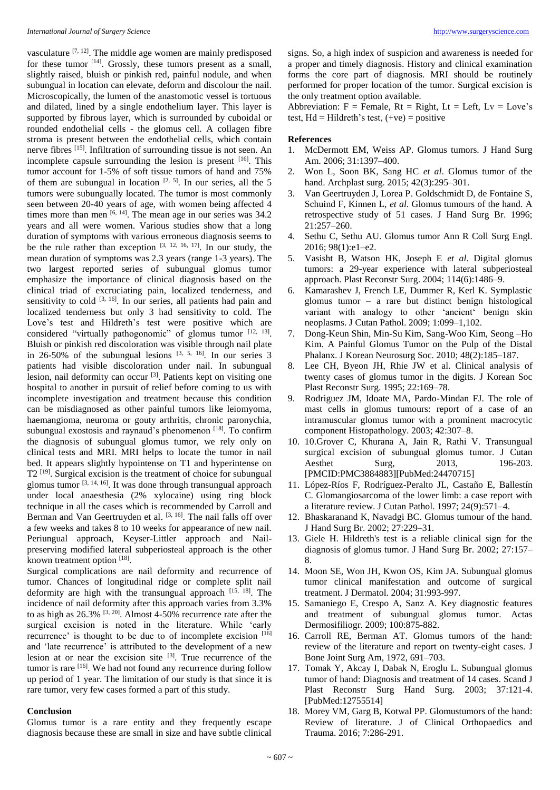vasculature  $[7, 12]$ . The middle age women are mainly predisposed for these tumor <sup>[14]</sup>. Grossly, these tumors present as a small, slightly raised, bluish or pinkish red, painful nodule, and when subungual in location can elevate, deform and discolour the nail. Microscopically, the lumen of the anastomotic vessel is tortuous and dilated, lined by a single endothelium layer. This layer is supported by fibrous layer, which is surrounded by cuboidal or rounded endothelial cells - the glomus cell. A collagen fibre stroma is present between the endothelial cells, which contain nerve fibres [15]. Infiltration of surrounding tissue is not seen. An incomplete capsule surrounding the lesion is present [16]. This tumor account for 1-5% of soft tissue tumors of hand and 75% of them are subungual in location  $[2, 5]$ . In our series, all the 5 tumors were subungually located. The tumor is most commonly seen between 20-40 years of age, with women being affected 4 times more than men  $[6, 14]$ . The mean age in our series was 34.2 years and all were women. Various studies show that a long duration of symptoms with various erroneous diagnosis seems to be the rule rather than exception  $[3, 12, 16, 17]$ . In our study, the mean duration of symptoms was 2.3 years (range 1-3 years). The two largest reported series of subungual glomus tumor emphasize the importance of clinical diagnosis based on the clinical triad of excruciating pain, localized tenderness, and sensitivity to cold  $[3, 16]$ . In our series, all patients had pain and localized tenderness but only 3 had sensitivity to cold. The Love's test and Hildreth's test were positive which are considered "virtually pathogonomic" of glomus tumor [12, 13]. Bluish or pinkish red discoloration was visible through nail plate in 26-50% of the subungual lesions  $[3, 5, 16]$ . In our series 3 patients had visible discoloration under nail. In subungual lesion, nail deformity can occur<sup>[3]</sup>. Patients kept on visiting one hospital to another in pursuit of relief before coming to us with incomplete investigation and treatment because this condition can be misdiagnosed as other painful tumors like leiomyoma, haemangioma, neuroma or gouty arthritis, chronic paronychia, subungual exostosis and raynaud's phenomenon [18]. To confirm the diagnosis of subungual glomus tumor, we rely only on clinical tests and MRI. MRI helps to locate the tumor in nail bed. It appears slightly hypointense on T1 and hyperintense on T2<sup>[19]</sup>. Surgical excision is the treatment of choice for subungual glomus tumor [3, 14, 16]. It was done through transungual approach under local anaesthesia (2% xylocaine) using ring block technique in all the cases which is recommended by Carroll and Berman and Van Geertruyden et al. [3, 16]. The nail falls off over a few weeks and takes 8 to 10 weeks for appearance of new nail. Periungual approach, Keyser-Littler approach and Nailpreserving modified lateral subperiosteal approach is the other known treatment option [18].

Surgical complications are nail deformity and recurrence of tumor. Chances of longitudinal ridge or complete split nail deformity are high with the transungual approach  $[15, 18]$ . The incidence of nail deformity after this approach varies from 3.3% to as high as  $26.3\%$  <sup>[3, 20]</sup>. Almost 4-50% recurrence rate after the surgical excision is noted in the literature. While 'early recurrence' is thought to be due to of incomplete excision [16] and 'late recurrence' is attributed to the development of a new lesion at or near the excision site [3]. True recurrence of the tumor is rare <sup>[16]</sup>. We had not found any recurrence during follow up period of 1 year. The limitation of our study is that since it is rare tumor, very few cases formed a part of this study.

# **Conclusion**

Glomus tumor is a rare entity and they frequently escape diagnosis because these are small in size and have subtle clinical signs. So, a high index of suspicion and awareness is needed for a proper and timely diagnosis. History and clinical examination forms the core part of diagnosis. MRI should be routinely performed for proper location of the tumor. Surgical excision is the only treatment option available.

Abbreviation:  $F =$  Female,  $Rt =$  Right,  $Lt =$  Left,  $Lv =$  Love's test,  $Hd = Hildreth's test, (+ve) = positive$ 

### **References**

- 1. McDermott EM, Weiss AP. Glomus tumors. J Hand Surg Am. 2006; 31:1397–400.
- 2. Won L, Soon BK, Sang HC *et al*. Glomus tumor of the hand. Archplast surg. 2015; 42(3):295–301.
- 3. Van Geertruyden J, Lorea P. Goldschmidt D, de Fontaine S, Schuind F, Kinnen L, *et al*. Glomus tumours of the hand. A retrospective study of 51 cases. J Hand Surg Br. 1996; 21:257–260.
- 4. Sethu C, Sethu AU. Glomus tumor Ann R Coll Surg Engl. 2016; 98(1):e1–e2.
- 5. Vasisht B, Watson HK, Joseph E *et al*. Digital glomus tumors: a 29-year experience with lateral subperiosteal approach. Plast Reconstr Surg. 2004; 114(6):1486–9.
- 6. Kamarashev J, French LE, Dummer R, Kerl K. Symplastic glomus tumor – a rare but distinct benign histological variant with analogy to other 'ancient' benign skin neoplasms. J Cutan Pathol. 2009; 1:099–1,102.
- 7. Dong-Keun Shin, Min-Su Kim, Sang-Woo Kim, Seong –Ho Kim. A Painful Glomus Tumor on the Pulp of the Distal Phalanx. J Korean Neurosurg Soc. 2010; 48(2):185–187.
- 8. Lee CH, Byeon JH, Rhie JW et al. Clinical analysis of twenty cases of glomus tumor in the digits. J Korean Soc Plast Reconstr Surg. 1995; 22:169–78.
- 9. Rodriguez JM, Idoate MA, Pardo-Mindan FJ. The role of mast cells in glomus tumours: report of a case of an intramuscular glomus tumor with a prominent macrocytic component Histopathology. 2003; 42:307–8.
- 10. 10.Grover C, Khurana A, Jain R, Rathi V. Transungual surgical excision of subungual glomus tumor. J Cutan Aesthet Surg, 2013, 196-203. [PMCID:PMC3884883][PubMed:24470715]
- 11. López-Ríos F, Rodríguez-Peralto JL, Castaño E, Ballestín C. Glomangiosarcoma of the lower limb: a case report with a literature review. J Cutan Pathol. 1997; 24(9):571–4.
- 12. Bhaskaranand K, Navadgi BC. Glomus tumour of the hand. J Hand Surg Br. 2002; 27:229–31.
- 13. Giele H. Hildreth's test is a reliable clinical sign for the diagnosis of glomus tumor. J Hand Surg Br. 2002; 27:157– 8.
- 14. Moon SE, Won JH, Kwon OS, Kim JA. Subungual glomus tumor clinical manifestation and outcome of surgical treatment. J Dermatol. 2004; 31:993-997.
- 15. Samaniego E, Crespo A, Sanz A. Key diagnostic features and treatment of subungual glomus tumor. Actas Dermosifiliogr. 2009; 100:875-882.
- 16. Carroll RE, Berman AT. Glomus tumors of the hand: review of the literature and report on twenty-eight cases. J Bone Joint Surg Am, 1972, 691–703.
- 17. Tomak Y, Akcay I, Dabak N, Eroglu L. Subungual glomus tumor of hand: Diagnosis and treatment of 14 cases. Scand J Plast Reconstr Surg Hand Surg. 2003; 37:121-4. [PubMed:12755514]
- 18. Morey VM, Garg B, Kotwal PP. Glomustumors of the hand: Review of literature. J of Clinical Orthopaedics and Trauma. 2016; 7:286-291.